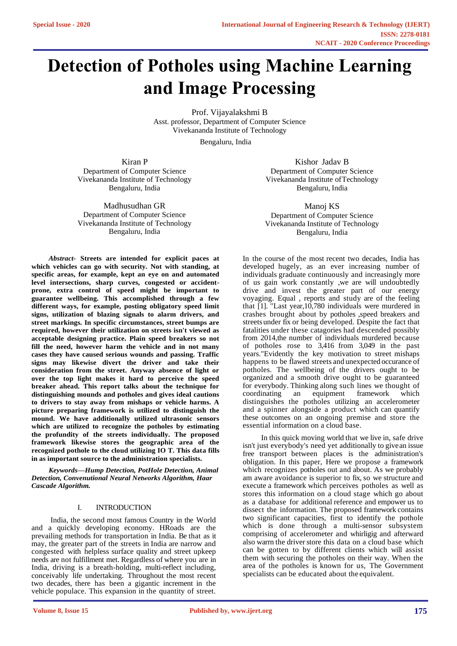# **Detection of Potholes using Machine Learning and Image Processing**

Prof. Vijayalakshmi B Asst. professor, Department of Computer Science Vivekananda Institute of Technology

[Bengaluru, India](mailto:Vijayalakshmibj4@gmail.com) 

Kiran P Department of Computer Science Vivekananda Institute of Technology [Bengaluru, India](mailto:kirangowda9591@gmail.com) 

Madhusudhan GR Department of Computer Science Vivekananda Institute of Technology Bengaluru, India

*Abstract-* **Streets are intended for explicit paces at which vehicles can go with security. Not with standing, at specific areas, for example, kept an eye on and automated level intersections, sharp curves, congested or accidentprone, extra control of speed might be important to guarantee wellbeing. This accomplished through a few different ways, for example, posting obligatory speed limit signs, utilization of blazing signals to alarm drivers, and street markings. In specific circumstances, street bumps are required, however their utilization on streets isn't viewed as acceptable designing practice. Plain speed breakers so not fill the need, however harm the vehicle and in not many cases they have caused serious wounds and passing. Traffic signs may likewise divert the driver and take their consideration from the street. Anyway absence of light or over the top light makes it hard to perceive the speed breaker ahead. This report talks about the technique for distinguishing mounds and potholes and gives ideal cautions to drivers to stay away from mishaps or vehicle harms. A picture preparing framework is utilized to distinguish the mound. We have additionally utilized ultrasonic sensors which are utilized to recognize the potholes by estimating the profundity of the streets individually. The proposed framework likewise stores the geographic area of the recognized pothole to the cloud utilizing IO T. This data fills in as important source to the administration specialists.**

*Keywords—Hump Detection, PotHole Detection, Animal Detection, Convenutional Neural Networks Algorithm, Haar Cascade Algorithm.*

#### I. INTRODUCTION

India, the second most famous Country in the World and a quickly developing economy. HRoads are the prevailing methods for transportation in India. Be that as it may, the greater part of the streets in India are narrow and congested with helpless surface quality and street upkeep needs are not fulfillment met. Regardless of where you are in India, driving is a breath-holding, multi-reflect including, conceivably life undertaking. Throughout the most recent two decades, there has been a gigantic increment in the vehicle populace. This expansion in the quantity of street.

Kishor Jadav B Department of Computer Science Vivekananda Institute of Technology [Bengaluru, India](mailto:kishorejadav000@gmail.com) 

Manoj KS Department of Computer Science Vivekananda Institute of Technology Bengaluru, India

In the course of the most recent two decades, India has developed hugely, as an ever increasing number of individuals graduate continuously and increasingly more of us gain work constantly ,we are will undoubtedly drive and invest the greater part of our energy voyaging. Equal , reports and study are of the feeling that [1]. "Last year,10,780 individuals were murdered in crashes brought about by potholes ,speed breakers and streets under fix or being developed. Despite the fact that fatalities under these catagories had descended possibly from 2014,the number of individuals murdered because of potholes rose to 3,416 from 3,049 in the past years."Evidently the key motivation to street mishaps happens to be flawed streets and unexpected occurance of potholes. The wellbeing of the drivers ought to be organized and a smooth drive ought to be guaranteed for everybody. Thinking along such lines we thought of coordinating an equipment framework which distinguishes the potholes utilizing an accelerometer and a spinner alongside a product which can quantify these outcomes on an ongoing premise and store the essential information on a cloud base.

In this quick moving world that we live in, safe drive isn't just everybody's need yet additionally to give an issue free transport between places is the administration's obligation. In this paper, Here we propose a framework which recognizes potholes out and about. As we probably am aware avoidance is superior to fix, so we structure and execute a framework which perceives potholes as well as stores this information on a cloud stage which go about as a database for additional reference and empower us to dissect the information. The proposed framework contains two significant capacities, first to identify the pothole which is done through a multi-sensor subsystem comprising of accelerometer and whirligig and afterward also warrn the driver store this data on a cloud base which can be gotten to by different clients which will assist them with securing the potholes on their way. When the area of the potholes is known for us, The Government specialists can be educated about the equivalent.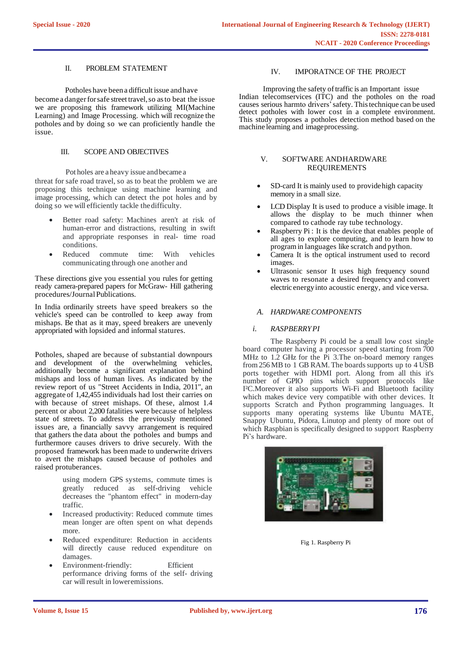#### II. PROBLEM STATEMENT

#### Potholes have been a difficult issue and have

become a dangerforsafe street travel,so asto beat the issue we are proposing this framework utilizing MI(Machine Learning) and Image Processing. which will recognize the potholes and by doing so we can proficiently handle the issue.

#### III. SCOPE AND OBJECTIVES

 Pot holes are a heavy issue andbecame a threat for safe road travel, so as to beat the problem we are proposing this technique using machine learning and image processing, which can detect the pot holes and by doing so we will efficiently tackle thedifficulty.

- Better road safety: Machines aren't at risk of human-error and distractions, resulting in swift and appropriate responses in real- time road conditions.
- Reduced commute time: With vehicles communicating through one another and

These directions give you essential you rules for getting ready camera-prepared papers for McGraw- Hill gathering procedures/Journal Publications.

In India ordinarily streets have speed breakers so the vehicle's speed can be controlled to keep away from mishaps. Be that as it may, speed breakers are unevenly appropriated with lopsided and informal statures.

Potholes, shaped are because of substantial downpours and development of the overwhelming vehicles, additionally become a significant explanation behind mishaps and loss of human lives. As indicated by the review report of us "Street Accidents in India, 2011", an aggregate of 1,42,455 individuals had lost their carries on with because of street mishaps. Of these, almost 1.4 percent or about 2,200 fatalities were because of helpless state of streets. To address the previously mentioned issues are, a financially savvy arrangement is required that gathers the data about the potholes and bumps and furthermore causes drivers to drive securely. With the proposed framework has been made to underwrite drivers to avert the mishaps caused because of potholes and raised protuberances.

> using modern GPS systems, commute times is greatly reduced as self-driving vehicle decreases the "phantom effect" in modern-day traffic.

- Increased productivity: Reduced commute times mean longer are often spent on what depends more.
- Reduced expenditure: Reduction in accidents will directly cause reduced expenditure on damages.
- Environment-friendly: Efficient performance driving forms of the self- driving car will result in loweremissions.

## IV. IMPORATNCE OF THE PROJECT

Improving the safety of traffic is an Important issue Indian telecomservices (ITC) and the potholes on the road causes serious harmto drivers'safety.Thistechnique can be used detect potholes with lower cost in a complete environment. This study proposes a potholes detection method based on the machine learning and imageprocessing.

#### V. SOFTWARE ANDHARDWARE REQUIREMENTS

- SD-card It is mainly used to provide high capacity memory in a small size.
- LCD Display It is used to produce a visible image. It allows the display to be much thinner when compared to cathode ray tube technology.
- Raspberry Pi : It is the device that enables people of all ages to explore computing, and to learn how to programin languages like scratch and python.
- Camera It is the optical instrument used to record images.
- Ultrasonic sensor It uses high frequency sound waves to resonate a desired frequency and convert electric energyinto acoustic energy, and vice versa.

## *A. HARDWARECOMPONENTS*

## *i. RASPBERRYPI*

The Raspberry Pi could be a small low cost single board computer having a processor speed starting from 700 MHz to 1.2 GHz for the Pi 3.The on-board memory ranges from 256 MB to 1 GB RAM. The boards supports up to 4 USB ports together with HDMI port. Along from all this it's number of GPIO pins which support protocols like I²C.Moreover it also supports Wi-Fi and Bluetooth facility which makes device very compatible with other devices. It supports Scratch and Python programming languages. It supports many operating systems like Ubuntu MATE, Snappy Ubuntu, Pidora, Linutop and plenty of more out of which Raspbian is specifically designed to support Raspberry Pi's hardware.



Fig 1. Raspberry Pi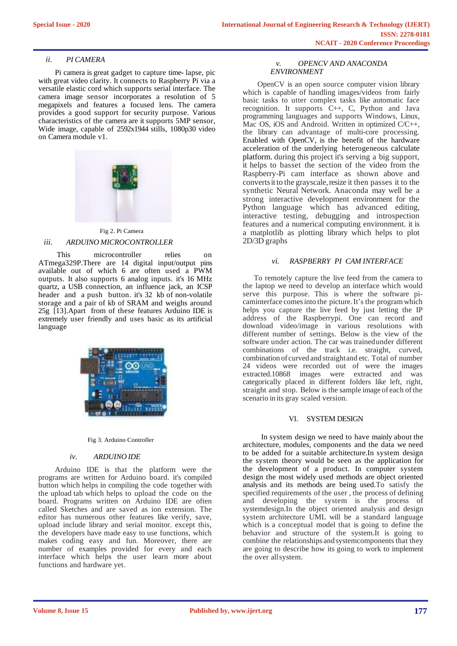## *ii. PI CAMERA*

Pi camera is great gadget to capture time- lapse, pic with great video clarity. It connects to Raspberry Pi via a versatile elastic cord which supports serial interface. The camera image sensor incorporates a resolution of 5 megapixels and features a focused lens. The camera provides a good support for security purpose. Various characteristics of the camera are it supports 5MP sensor, Wide image, capable of 2592x1944 stills, 1080p30 video on Camera module v1.





This microcontroller relies on ATmega329P.There are 14 digital input/output pins available out of which 6 are often used a PWM outputs. It also supports 6 analog inputs. it's 16 MHz quartz, a USB connection, an influence jack, an ICSP header and a push button. it's 32 kb of non-volatile storage and a pair of kb of SRAM and weighs around 25g [13].Apart from of these features Arduino IDE is extremely user friendly and uses basic as its artificial language



Fig 3. Arduino Controller

#### *iv. ARDUINO IDE*

Arduino IDE is that the platform were the programs are written for Arduino board. it's compiled button which helps in compiling the code together with the upload tab which helps to upload the code on the board. Programs written on Arduino IDE are often called Sketches and are saved as ion extension. The editor has numerous other features like verify, save, upload include library and serial monitor. except this, the developers have made easy to use functions, which makes coding easy and fun. Moreover, there are number of examples provided for every and each interface which helps the user learn more about functions and hardware yet.

## *v. OPENCV AND ANACONDA ENVIRONMENT*

OpenCV is an open source computer vision library which is capable of handling images/videos from fairly basic tasks to utter complex tasks like automatic face recognition. It supports C++, C, Python and Java programming languages and supports Windows, Linux, Mac OS, iOS and Android. Written in optimized C/C++, the library can advantage of multi-core processing. Enabled with OpenCV, is the benefit of the hardware acceleration of the underlying heterogeneous calculate platform. during this project it's serving a big support, it helps to basset the section of the video from the Raspberry-Pi cam interface as shown above and converts it to the grayscale, resize it then passes it to the synthetic Neural Network. Anaconda may well be a strong interactive development environment for the Python language which has advanced editing, interactive testing, debugging and introspection features and a numerical computing environment. it is a matplotlib as plotting library which helps to plot 2D/3D graphs

## *vi. RASPBERRY PI CAM INTERFACE*

To remotely capture the live feed from the camera to the laptop we need to develop an interface which would serve this purpose. This is where the software picaminterface comesinto the picture.It's the programwhich helps you capture the live feed by just letting the IP address of the Raspberrypi. One can record and download video/image in various resolutions with different number of settings. Below is the view of the software under action. The car was trainedunder different combinations of the track i.e. straight, curved, combination of curved and straightand etc. Total of number 24 videos were recorded out of were the images extracted.10868 images were extracted and was categorically placed in different folders like left, right, straight and stop. Below is the sample image of each of the scenario in its gray scaled version.

#### VI. SYSTEM DESIGN

In system design we need to have mainly about the architecture, modules, components and the data we need to be added for a suitable architecture.In system design the system theory would be seen as the application for the development of a product. In computer system design the most widely used methods are object oriented analysis and its methods are being used.To satisfy the specified requirements of the user , the process of defining and developing the system is the process of systemdesign.In the object oriented analysis and design system architecture UML will be a standard language which is a conceptual model that is going to define the behavior and structure of the system.It is going to combine the relationships andsystemcomponents that they are going to describe how its going to work to implement the over allsystem.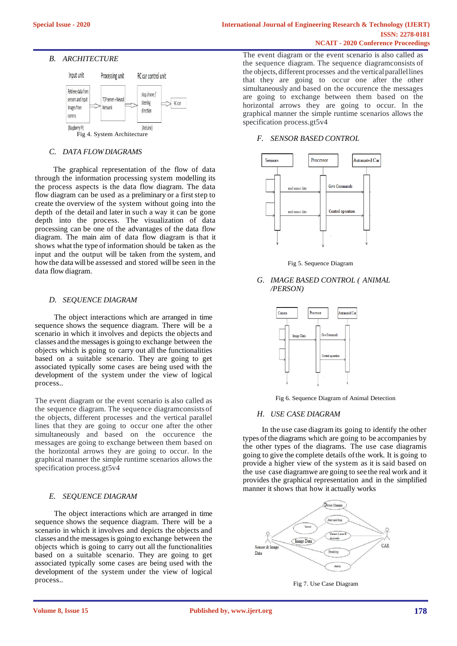## *B. ARCHITECTURE*



## *C. DATA FLOWDIAGRAMS*

The graphical representation of the flow of data through the information processing system modelling its the process aspects is the data flow diagram. The data flow diagram can be used as a preliminary or a first step to create the overview of the system without going into the depth of the detail and later in such a way it can be gone depth into the process. The visualization of data processing can be one of the advantages of the data flow diagram. The main aim of data flow diagram is that it shows what the type of information should be taken as the input and the output will be taken from the system, and howthe data will be assessed and stored will be seen in the data flow diagram.

## *D. SEQUENCE DIAGRAM*

The object interactions which are arranged in time sequence shows the sequence diagram. There will be a scenario in which it involves and depicts the objects and classes and the messagesis going to exchange between the objects which is going to carry out all the functionalities based on a suitable scenario. They are going to get associated typically some cases are being used with the development of the system under the view of logical process.*.*

The event diagram or the event scenario is also called as the sequence diagram. The sequence diagramconsists of the objects, different processes and the vertical parallel lines that they are going to occur one after the other simultaneously and based on the occurence the messages are going to exchange between them based on the horizontal arrows they are going to occur. In the graphical manner the simple runtime scenarios allows the specification process.gt5v4

## *E. SEQUENCE DIAGRAM*

The object interactions which are arranged in time sequence shows the sequence diagram. There will be a scenario in which it involves and depicts the objects and classes and the messagesis going to exchange between the objects which is going to carry out all the functionalities based on a suitable scenario. They are going to get associated typically some cases are being used with the development of the system under the view of logical process.*.*

The event diagram or the event scenario is also called as the sequence diagram. The sequence diagramconsists of the objects, different processes and the vertical parallel lines that they are going to occur one after the other simultaneously and based on the occurence the messages are going to exchange between them based on the horizontal arrows they are going to occur. In the graphical manner the simple runtime scenarios allows the specification process.gt5v4

## *F. SENSOR BASED CONTROL*



Fig 5. Sequence Diagram

*G. IMAGE BASED CONTROL ( ANIMAL /PERSON)*



Fig 6. Sequence Diagram of Animal Detection

## *H. USE CASE DIAGRAM*

In the use case diagram its going to identify the other types of the diagrams which are going to be accompanies by the other types of the diagrams. The use case diagramis going to give the complete details of the work. It is going to provide a higher view of the system as it is said based on the use case diagramwe are going to see the real work and it provides the graphical representation and in the simplified manner it shows that how it actually works



Fig 7. Use Case Diagram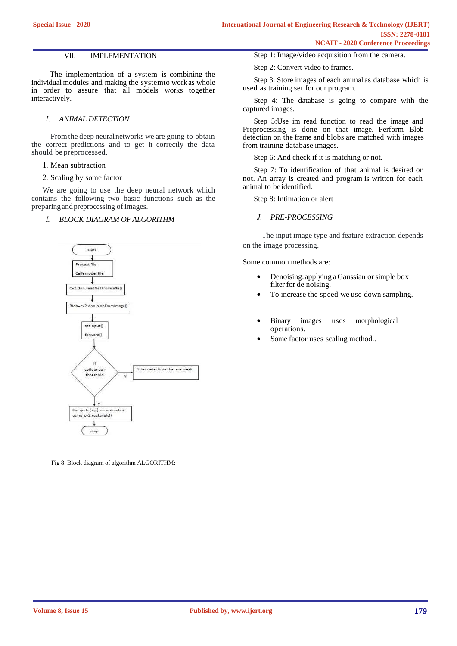## VII. IMPLEMENTATION

The implementation of a system is combining the individual modules and making the systemto work as whole in order to assure that all models works together interactively.

#### *I. ANIMAL DETECTION*

Fromthe deep neuralnetworks we are going to obtain the correct predictions and to get it correctly the data should be preprocessed.

1. Mean subtraction

2. Scaling by some factor

We are going to use the deep neural network which contains the following two basic functions such as the preparingandpreprocessing of images.

#### *I. BLOCK DIAGRAM OF ALGORITHM*



Fig 8. Block diagram of algorithm ALGORITHM:

Step 1: Image/video acquisition from the camera.

Step 2: Convert video to frames.

Step 3: Store images of each animal as database which is used as training set for our program.

Step 4: The database is going to compare with the captured images.

Step 5:Use im read function to read the image and Preprocessing is done on that image. Perform Blob detection on the frame and blobs are matched with images from training database images.

Step 6: And check if it is matching or not.

Step 7: To identification of that animal is desired or not. An array is created and program is written for each animal to be identified.

Step 8: Intimation or alert

*J. PRE-PROCESSING*

The input image type and feature extraction depends on the image processing.

Some common methods are:

- Denoising:applying a Gaussian or simple box filter for de noising.
- To increase the speed we use down sampling.
- Binary images uses morphological operations.
- Some factor uses scaling method..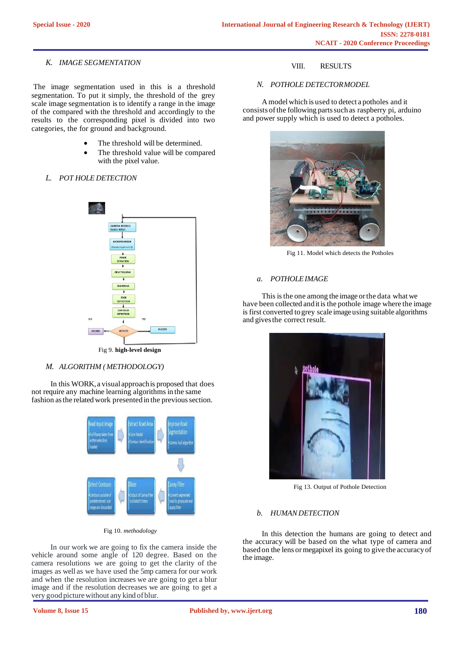## *K. IMAGE SEGMENTATION*

The image segmentation used in this is a threshold segmentation. To put it simply, the threshold of the grey scale image segmentation is to identify a range in the image of the compared with the threshold and accordingly to the results to the corresponding pixel is divided into two categories, the for ground and background.

- The threshold will be determined.
- The threshold value will be compared with the pixel value.

# *L. POT HOLE DETECTION*



## *M. ALGORITHM (METHODOLOGY)*

In this WORK, a visual approach is proposed that does not require any machine learning algorithms in the same fashion as the related work presented in the previous section.



Fig 10. *methodology*

In our work we are going to fix the camera inside the vehicle around some angle of 120 degree. Based on the camera resolutions we are going to get the clarity of the images as well as we have used the 5mp camera for our work and when the resolution increases we are going to get a blur image and if the resolution decreases we are going to get a very good picture without any kind of blur.

# VIII. RESULTS

## *N. POTHOLE DETECTORMODEL*

A model which is used to detect a potholes and it consists of the following parts such as raspberry pi, arduino and power supply which is used to detect a potholes.



Fig 11. Model which detects the Potholes

## *a. POTHOLEIMAGE*

This isthe one among the image orthe data what we have been collected and it is the pothole image where the image is first converted to grey scale image using suitable algorithms and givesthe correct result.



Fig 13. Output of Pothole Detection

## *b. HUMAN DETECTION*

In this detection the humans are going to detect and the accuracy will be based on the what type of camera and based on the lens ormegapixel its going to give the accuracy of the image.